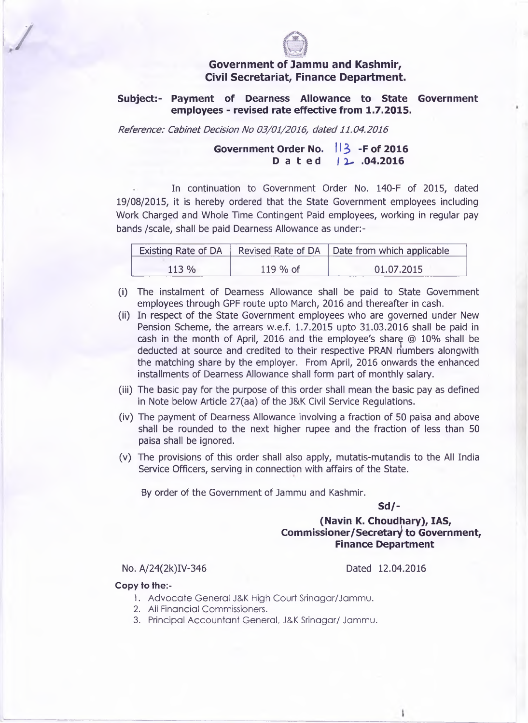

## **Government of Jammu and Kashmir, Civil Secretariat, Finance Department.**

**Subject:- Payment of Dearness Allowance to State Government employees - revised rate effective from 1.7.2015.**

*Reference: Cabinet Decision No 03/01/2016, dated 11.04.2016*

## Government Order No. **13** - F of 2016 **Dated | Z- .04.2016**

**In continuation to Government Order No. 140-F of 2015, dated 19/08/2015, it is hereby ordered that the State Government employees including** Work Charged and Whole Time Contingent Paid employees, working in regular pay **bands /scale, shall be paid Dearness Allowance as under:-**

| <b>Existing Rate of DA</b> |          | Revised Rate of DA   Date from which applicable |
|----------------------------|----------|-------------------------------------------------|
| $113\%$                    | 119 % of | 01.07.2015                                      |

- **(i) The instalment of Dearness Allowance shall be paid to State Government employees through GPF route upto March, 2016 and thereafter in cash.**
- **(ii) In respect of the State Government employees who are governed under New Pension Scheme, the arrears w.e.f. 1.7.2015 upto 31.03.2016 shall be paid in cash in the month of April, 2016 and the employee's shar^ @ 10% shall be deducted at source and credited to their respective PRAN numbers alongwith the matching share by the employer. From April, 2016 onwards the enhanced installments of Dearness Allowance shall form part of monthly salary.**
- **(iii) The basic pay for the purpose of this order shall mean the basic pay as defined in Note below Article 27(aa) of the J&K Civil Service Regulations.**
- **(iv) The payment of Dearness Allowance involving a fraction of 50 paisa and above shall be rounded to the next higher rupee and the fraction of less than 50 paisa shall be ignored.**
- **(v) The provisions of this order shall also apply, mutatis-mutandis to the All India Service Officers, serving in connection with affairs of the State.**

**By order of the Government of Jammu and Kashmir.**

**Sd/-**

**(Navin K. Choudhary), IAS, Commissioner/Secretary to Government, Finance Department**

No. A/24(2k)IV-346 Dated 12.04.2016

ł.

## **Copy to the:-**

/

- 1. Advocate General J&K High Court Srinagar/Jammu.
- **2.** All Financial Commissioners.
- 3. Principal Accountant General, J&K Srinagar/ Jammu.